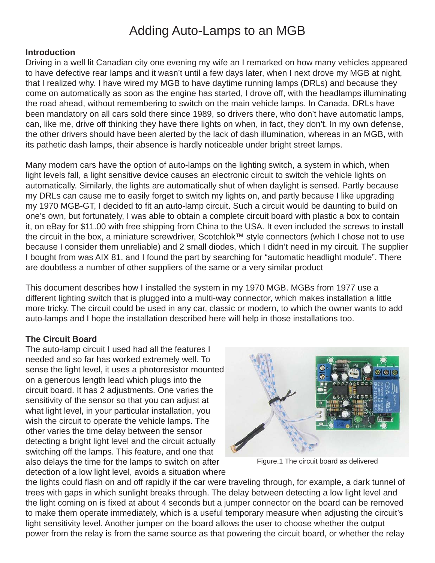# Adding Auto-Lamps to an MGB

### **Introduction**

Driving in a well lit Canadian city one evening my wife an I remarked on how many vehicles appeared to have defective rear lamps and it wasn't until a few days later, when I next drove my MGB at night, that I realized why. I have wired my MGB to have daytime running lamps (DRLs) and because they come on automatically as soon as the engine has started, I drove off, with the headlamps illuminating the road ahead, without remembering to switch on the main vehicle lamps. In Canada, DRLs have been mandatory on all cars sold there since 1989, so drivers there, who don't have automatic lamps, can, like me, drive off thinking they have there lights on when, in fact, they don't. In my own defense, the other drivers should have been alerted by the lack of dash illumination, whereas in an MGB, with its pathetic dash lamps, their absence is hardly noticeable under bright street lamps.

Many modern cars have the option of auto-lamps on the lighting switch, a system in which, when light levels fall, a light sensitive device causes an electronic circuit to switch the vehicle lights on automatically. Similarly, the lights are automatically shut of when daylight is sensed. Partly because my DRLs can cause me to easily forget to switch my lights on, and partly because I like upgrading my 1970 MGB-GT, I decided to fit an auto-lamp circuit. Such a circuit would be daunting to build on one's own, but fortunately, I was able to obtain a complete circuit board with plastic a box to contain it, on eBay for \$11.00 with free shipping from China to the USA. It even included the screws to install the circuit in the box, a miniature screwdriver, Scotchlok™ style connectors (which I chose not to use because I consider them unreliable) and 2 small diodes, which I didn't need in my circuit. The supplier I bought from was AIX 81, and I found the part by searching for "automatic headlight module". There are doubtless a number of other suppliers of the same or a very similar product

This document describes how I installed the system in my 1970 MGB. MGBs from 1977 use a different lighting switch that is plugged into a multi-way connector, which makes installation a little more tricky. The circuit could be used in any car, classic or modern, to which the owner wants to add auto-lamps and I hope the installation described here will help in those installations too.

# **The Circuit Board**

The auto-lamp circuit I used had all the features I needed and so far has worked extremely well. To sense the light level, it uses a photoresistor mounted on a generous length lead which plugs into the circuit board. It has 2 adjustments. One varies the sensitivity of the sensor so that you can adjust at what light level, in your particular installation, you wish the circuit to operate the vehicle lamps. The other varies the time delay between the sensor detecting a bright light level and the circuit actually switching off the lamps. This feature, and one that also delays the time for the lamps to switch on after detection of a low light level, avoids a situation where



Figure.1 The circuit board as delivered

the lights could flash on and off rapidly if the car were traveling through, for example, a dark tunnel of trees with gaps in which sunlight breaks through. The delay between detecting a low light level and the light coming on is fixed at about 4 seconds but a jumper connector on the board can be removed to make them operate immediately, which is a useful temporary measure when adjusting the circuit's light sensitivity level. Another jumper on the board allows the user to choose whether the output power from the relay is from the same source as that powering the circuit board, or whether the relay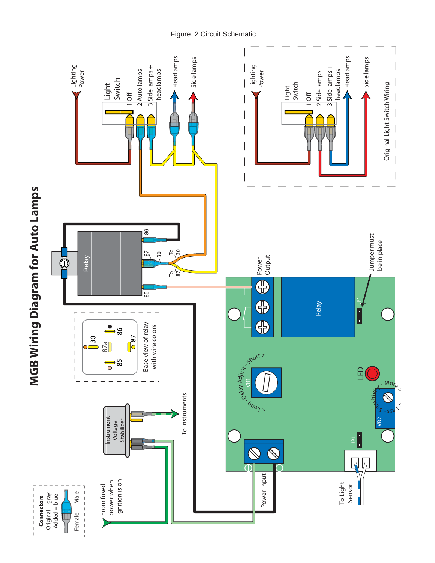Headlamps Headlamps Side lamps Side lamps Headlamps Headlamps  $\begin{array}{c}\n 3 \text{Side lamps} + \\
 \text{head lamps}\n \end{array}$  $\begin{array}{c}\n3 \text{ Side lamps} + \\
\hline\n\text{headlamps}\n\end{array}$ Lighting Power Lighting Power 3 Side lamps + 3 Side lamps + 2 Auto lamps 2<br>Side<br>lamps 2 Auto lamps headlamps headlamps 2 Side lamps Light Switch Original Light Switch Wiring Light Switch Original Light Switch Wiring  $1$ <sup>Off</sup> 1 Off  $\overline{\phantom{a}}$  $\overline{\phantom{a}}$ **MGB Wiring Diagram for Auto Lamps MGB Wiring Diagram for Auto Lamps** 86 Jumper must Jumper must be in place To 30  $-30$  $\sqrt{8}$ Power<br>Output Relay Power Input Power Input Power Input Power Inc.  $\bigcirc$ To 87  $\overline{\bigoplus}$  $\overline{85}$ E  $\Xi$ Relay  $\Box$  $\overline{1}$ G  $-8$ Base view of relay with wire colors Base view of relay  $\overline{\phantom{a}}$ with wire colors  $\overline{\phantom{a}}$  $\sqrt{987}$  $30$  $\frac{87a}{8}$  $\vert$  $\overline{\phantom{1}}$  $\begin{array}{c} \begin{array}{c} \hline \end{array} \end{array}$ Delay Adjust - Short >  $\frac{1}{2}$  $\begin{array}{c} \hline \end{array}$  $\begin{array}{c} \hline \end{array}$ LED  $\overline{\phantom{a}}$ ş  $M_{\odot}$ ensitikity<br>P To Instruments  $\mathbb{S}$ To Instruments  $\delta_{\nu_{\scriptscriptstyle O_{7>}}}$  $\sim$ S se VR2 Instrument Instrument Voltage<br>Stabilizer **Stabilizer T**  $\bigotimes$  $\overline{\mathbb{A}}$  $\n *b*$  $\overline{\bigoplus}$ Power Input From fused<br>power when<br>ignition is on To Light ignition is on power when Sensor From fused Male H Original = gray<br>Added = blue Female Male Original = gray Connectors Added = blue **Connectors** Female T<br>T

Figure. 2 Circuit Schematic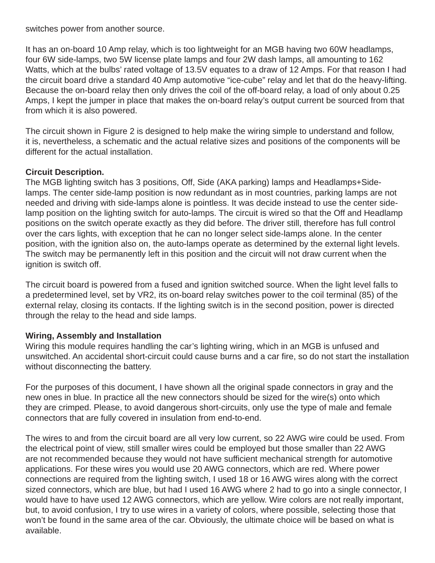switches power from another source.

It has an on-board 10 Amp relay, which is too lightweight for an MGB having two 60W headlamps, four 6W side-lamps, two 5W license plate lamps and four 2W dash lamps, all amounting to 162 Watts, which at the bulbs' rated voltage of 13.5V equates to a draw of 12 Amps. For that reason I had the circuit board drive a standard 40 Amp automotive "ice-cube" relay and let that do the heavy-lifting. Because the on-board relay then only drives the coil of the off-board relay, a load of only about 0.25 Amps, I kept the jumper in place that makes the on-board relay's output current be sourced from that from which it is also powered.

The circuit shown in Figure 2 is designed to help make the wiring simple to understand and follow, it is, nevertheless, a schematic and the actual relative sizes and positions of the components will be different for the actual installation.

## **Circuit Description.**

The MGB lighting switch has 3 positions, Off, Side (AKA parking) lamps and Headlamps+Sidelamps. The center side-lamp position is now redundant as in most countries, parking lamps are not needed and driving with side-lamps alone is pointless. It was decide instead to use the center sidelamp position on the lighting switch for auto-lamps. The circuit is wired so that the Off and Headlamp positions on the switch operate exactly as they did before. The driver still, therefore has full control over the cars lights, with exception that he can no longer select side-lamps alone. In the center position, with the ignition also on, the auto-lamps operate as determined by the external light levels. The switch may be permanently left in this position and the circuit will not draw current when the ignition is switch off.

The circuit board is powered from a fused and ignition switched source. When the light level falls to a predetermined level, set by VR2, its on-board relay switches power to the coil terminal (85) of the external relay, closing its contacts. If the lighting switch is in the second position, power is directed through the relay to the head and side lamps.

### **Wiring, Assembly and Installation**

Wiring this module requires handling the car's lighting wiring, which in an MGB is unfused and unswitched. An accidental short-circuit could cause burns and a car fire, so do not start the installation without disconnecting the battery.

For the purposes of this document, I have shown all the original spade connectors in gray and the new ones in blue. In practice all the new connectors should be sized for the wire(s) onto which they are crimped. Please, to avoid dangerous short-circuits, only use the type of male and female connectors that are fully covered in insulation from end-to-end.

The wires to and from the circuit board are all very low current, so 22 AWG wire could be used. From the electrical point of view, still smaller wires could be employed but those smaller than 22 AWG are not recommended because they would not have sufficient mechanical strength for automotive applications. For these wires you would use 20 AWG connectors, which are red. Where power connections are required from the lighting switch, I used 18 or 16 AWG wires along with the correct sized connectors, which are blue, but had I used 16 AWG where 2 had to go into a single connector, I would have to have used 12 AWG connectors, which are yellow. Wire colors are not really important, but, to avoid confusion, I try to use wires in a variety of colors, where possible, selecting those that won't be found in the same area of the car. Obviously, the ultimate choice will be based on what is available.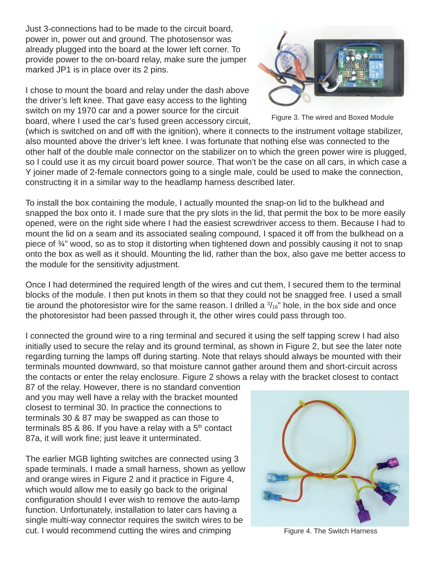Just 3-connections had to be made to the circuit board, power in, power out and ground. The photosensor was already plugged into the board at the lower left corner. To provide power to the on-board relay, make sure the jumper marked JP1 is in place over its 2 pins.

I chose to mount the board and relay under the dash above the driver's left knee. That gave easy access to the lighting switch on my 1970 car and a power source for the circuit board, where I used the car's fused green accessory circuit,



Figure 3. The wired and Boxed Module

(which is switched on and off with the ignition), where it connects to the instrument voltage stabilizer, also mounted above the driver's left knee. I was fortunate that nothing else was connected to the other half of the double male connector on the stabilizer on to which the green power wire is plugged, so I could use it as my circuit board power source. That won't be the case on all cars, in which case a Y joiner made of 2-female connectors going to a single male, could be used to make the connection, constructing it in a similar way to the headlamp harness described later.

To install the box containing the module, I actually mounted the snap-on lid to the bulkhead and snapped the box onto it. I made sure that the pry slots in the lid, that permit the box to be more easily opened, were on the right side where I had the easiest screwdriver access to them. Because I had to mount the lid on a seam and its associated sealing compound, I spaced it off from the bulkhead on a piece of ¾" wood, so as to stop it distorting when tightened down and possibly causing it not to snap onto the box as well as it should. Mounting the lid, rather than the box, also gave me better access to the module for the sensitivity adjustment.

Once I had determined the required length of the wires and cut them, I secured them to the terminal blocks of the module. I then put knots in them so that they could not be snagged free. I used a small tie around the photoresistor wire for the same reason. I drilled a  $\frac{3}{16}$ " hole, in the box side and once the photoresistor had been passed through it, the other wires could pass through too.

I connected the ground wire to a ring terminal and secured it using the self tapping screw I had also initially used to secure the relay and its ground terminal, as shown in Figure 2, but see the later note regarding turning the lamps off during starting. Note that relays should always be mounted with their terminals mounted downward, so that moisture cannot gather around them and short-circuit across the contacts or enter the relay enclosure. Figure 2 shows a relay with the bracket closest to contact

87 of the relay. However, there is no standard convention and you may well have a relay with the bracket mounted closest to terminal 30. In practice the connections to terminals 30 & 87 may be swapped as can those to terminals 85 & 86. If you have a relay with a  $5<sup>th</sup>$  contact 87a, it will work fine; just leave it unterminated.

The earlier MGB lighting switches are connected using 3 spade terminals. I made a small harness, shown as yellow and orange wires in Figure 2 and it practice in Figure 4, which would allow me to easily go back to the original configuration should I ever wish to remove the auto-lamp function. Unfortunately, installation to later cars having a single multi-way connector requires the switch wires to be cut. I would recommend cutting the wires and crimping



Figure 4. The Switch Harness